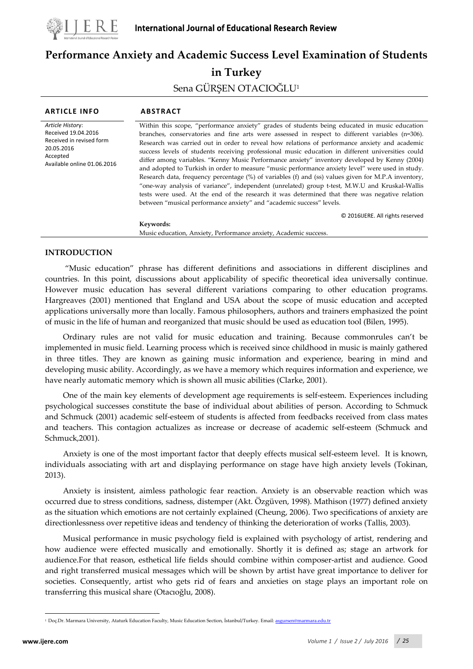

# **Performance Anxiety and Academic Success Level Examination of Students in Turkey** Sena GÜRŞEN OTACIOĞLU<sup>1</sup>

| <b>ARTICLE INFO</b>                                                                                                          | <b>ABSTRACT</b>                                                                                                                                                                                                                                                                                                                                                                                                                                                                                                                                                                                                                                                                                                                                                                                                                                                                                                                                                                                   |
|------------------------------------------------------------------------------------------------------------------------------|---------------------------------------------------------------------------------------------------------------------------------------------------------------------------------------------------------------------------------------------------------------------------------------------------------------------------------------------------------------------------------------------------------------------------------------------------------------------------------------------------------------------------------------------------------------------------------------------------------------------------------------------------------------------------------------------------------------------------------------------------------------------------------------------------------------------------------------------------------------------------------------------------------------------------------------------------------------------------------------------------|
| Article History:<br>Received 19.04.2016<br>Received in revised form<br>20.05.2016<br>Accepted<br>Available online 01.06.2016 | Within this scope, "performance anxiety" grades of students being educated in music education<br>branches, conservatories and fine arts were assessed in respect to different variables $(n=306)$ .<br>Research was carried out in order to reveal how relations of performance anxiety and academic<br>success levels of students receiving professional music education in different universities could<br>differ among variables. "Kenny Music Performance anxiety" inventory developed by Kenny (2004)<br>and adopted to Turkish in order to measure "music performance anxiety level" were used in study.<br>Research data, frequency percentage (%) of variables (f) and (ss) values given for M.P.A inventory,<br>"one-way analysis of variance", independent (unrelated) group t-test, M.W.U and Kruskal-Wallis<br>tests were used. At the end of the research it was determined that there was negative relation<br>between "musical performance anxiety" and "academic success" levels. |
|                                                                                                                              | © 2016 UERE. All rights reserved<br>Keywords:                                                                                                                                                                                                                                                                                                                                                                                                                                                                                                                                                                                                                                                                                                                                                                                                                                                                                                                                                     |
|                                                                                                                              | Music education, Anxiety, Performance anxiety, Academic success.                                                                                                                                                                                                                                                                                                                                                                                                                                                                                                                                                                                                                                                                                                                                                                                                                                                                                                                                  |
|                                                                                                                              |                                                                                                                                                                                                                                                                                                                                                                                                                                                                                                                                                                                                                                                                                                                                                                                                                                                                                                                                                                                                   |

## **INTRODUCTION**

"Music education" phrase has different definitions and associations in different disciplines and countries. In this point, discussions about applicability of specific theoretical idea universally continue. However music education has several different variations comparing to other education programs. Hargreaves (2001) mentioned that England and USA about the scope of music education and accepted applications universally more than locally. Famous philosophers, authors and trainers emphasized the point of music in the life of human and reorganized that music should be used as education tool (Bilen, 1995).

Ordinary rules are not valid for music education and training. Because commonrules can't be implemented in music field. Learning process which is received since childhood in music is mainly gathered in three titles. They are known as gaining music information and experience, bearing in mind and developing music ability. Accordingly, as we have a memory which requires information and experience, we have nearly automatic memory which is shown all music abilities (Clarke, 2001).

One of the main key elements of development age requirements is self-esteem. Experiences including psychological successes constitute the base of individual about abilities of person. According to Schmuck and Schmuck (2001) academic self-esteem of students is affected from feedbacks received from class mates and teachers. This contagion actualizes as increase or decrease of academic self-esteem (Schmuck and Schmuck,2001).

Anxiety is one of the most important factor that deeply effects musical self-esteem level. It is known, individuals associating with art and displaying performance on stage have high anxiety levels (Tokinan, 2013).

Anxiety is insistent, aimless pathologic fear reaction. Anxiety is an observable reaction which was occurred due to stress conditions, sadness, distemper (Akt. Özgüven, 1998). Mathison (1977) defined anxiety as the situation which emotions are not certainly explained (Cheung, 2006). Two specifications of anxiety are directionlessness over repetitive ideas and tendency of thinking the deterioration of works (Tallis, 2003).

Musical performance in music psychology field is explained with psychology of artist, rendering and how audience were effected musically and emotionally. Shortly it is defined as; stage an artwork for audience.For that reason, esthetical life fields should combine within composer-artist and audience. Good and right transferred musical messages which will be shown by artist have great importance to deliver for societies. Consequently, artist who gets rid of fears and anxieties on stage plays an important role on transferring this musical share (Otacıoğlu, 2008).

 $\overline{a}$ 

<span id="page-0-0"></span><sup>1</sup>Doç.Dr. Marmara University, Ataturk Education Faculty, Music Education Section, İstanbul/Turkey. Email: [asgursen@marmara.edu.tr](mailto:asgursen@marmara.edu.tr)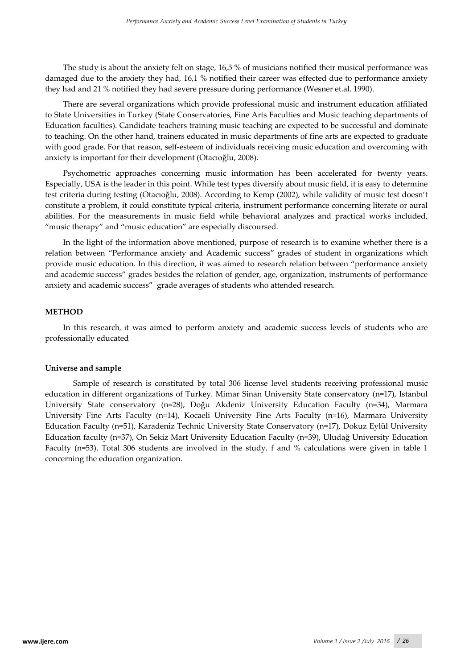The study is about the anxiety felt on stage, 16,5 % of musicians notified their musical performance was damaged due to the anxiety they had, 16,1 % notified their career was effected due to performance anxiety they had and 21 % notified they had severe pressure during performance (Wesner et.al. 1990).

There are several organizations which provide professional music and instrument education affiliated to State Universities in Turkey (State Conservatories, Fine Arts Faculties and Music teaching departments of Education faculties). Candidate teachers training music teaching are expected to be successful and dominate to teaching. On the other hand, trainers educated in music departments of fine arts are expected to graduate with good grade. For that reason, self-esteem of individuals receiving music education and overcoming with anxiety is important for their development (Otacıoğlu, 2008).

Psychometric approaches concerning music information has been accelerated for twenty years. Especially, USA is the leader in this point. While test types diversify about music field, it is easy to determine test criteria during testing (Otacıoğlu, 2008). According to Kemp (2002), while validity of music test doesn't constitute a problem, it could constitute typical criteria, instrument performance concerning literate or aural abilities. For the measurements in music field while behavioral analyzes and practical works included, "music therapy" and "music education" are especially discoursed.

In the light of the information above mentioned, purpose of research is to examine whether there is a relation between "Performance anxiety and Academic success" grades of student in organizations which provide music education. In this direction, it was aimed to research relation between "performance anxiety and academic success" grades besides the relation of gender, age, organization, instruments of performance anxiety and academic success" grade averages of students who attended research.

## **METHOD**

In this research, it was aimed to perform anxiety and academic success levels of students who are professionally educated

# **Universe and sample**

Sample of research is constituted by total 306 license level students receiving professional music education in different organizations of Turkey. Mimar Sinan University State conservatory (n=17), Istanbul University State conservatory (n=28), Doğu Akdeniz University Education Faculty (n=34), Marmara University Fine Arts Faculty (n=14), Kocaeli University Fine Arts Faculty (n=16), Marmara University Education Faculty (n=51), Karadeniz Technic University State Conservatory (n=17), Dokuz Eylül University Education faculty (n=37), On Sekiz Mart University Education Faculty (n=39), Uludağ University Education Faculty (n=53). Total 306 students are involved in the study. f and % calculations were given in table 1 concerning the education organization.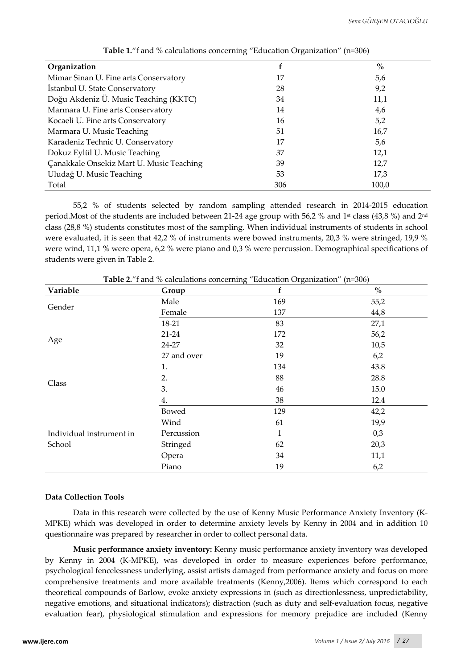| Organization                             |     | $\%$  |
|------------------------------------------|-----|-------|
| Mimar Sinan U. Fine arts Conservatory    | 17  | 5,6   |
| Istanbul U. State Conservatory           | 28  | 9,2   |
| Doğu Akdeniz Ü. Music Teaching (KKTC)    | 34  | 11,1  |
| Marmara U. Fine arts Conservatory        | 14  | 4,6   |
| Kocaeli U. Fine arts Conservatory        | 16  | 5,2   |
| Marmara U. Music Teaching                | 51  | 16,7  |
| Karadeniz Technic U. Conservatory        | 17  | 5,6   |
| Dokuz Eylül U. Music Teaching            | 37  | 12,1  |
| Çanakkale Onsekiz Mart U. Music Teaching | 39  | 12,7  |
| Uludağ U. Music Teaching                 | 53  | 17,3  |
| Total                                    | 306 | 100.0 |

**Table 1.**"f and % calculations concerning "Education Organization" (n=306)

55,2 % of students selected by random sampling attended research in 2014-2015 education period.Most of the students are included between 21-24 age group with 56,2 % and 1<sup>st</sup> class (43,8 %) and 2<sup>nd</sup> class (28,8 %) students constitutes most of the sampling. When individual instruments of students in school were evaluated, it is seen that 42,2 % of instruments were bowed instruments, 20,3 % were stringed, 19,9 % were wind, 11,1 % were opera, 6,2 % were piano and 0,3 % were percussion. Demographical specifications of students were given in Table 2.

|                          |             | o<br>$\bm{\omega}$ |                                    |
|--------------------------|-------------|--------------------|------------------------------------|
| Variable                 | Group       | f                  | $\mathbf{0}_{\mathbf{0}}^{\prime}$ |
| Gender                   | Male        | 169                | 55,2                               |
|                          | Female      | 137                | 44,8                               |
|                          | 18-21       | 83                 | 27,1                               |
|                          | $21-24$     | 172                | 56,2                               |
| Age                      | 24-27       | 32                 | 10,5                               |
|                          | 27 and over | 19                 | 6,2                                |
|                          | 1.          | 134                | 43.8                               |
| Class                    | 2.          | 88                 | 28.8                               |
|                          | 3.          | 46                 | 15.0                               |
|                          | 4.          | 38                 | 12.4                               |
|                          | Bowed       | 129                | 42,2                               |
|                          | Wind        | 61                 | 19,9                               |
| Individual instrument in | Percussion  | $\mathbf{1}$       | 0,3                                |
| School                   | Stringed    | 62                 | 20,3                               |
|                          | Opera       | 34                 | 11,1                               |
|                          | Piano       | 19                 | 6,2                                |

**Table 2.**"f and % calculations concerning "Education Organization" (n=306)

#### **Data Collection Tools**

Data in this research were collected by the use of Kenny Music Performance Anxiety Inventory (K-MPKE) which was developed in order to determine anxiety levels by Kenny in 2004 and in addition 10 questionnaire was prepared by researcher in order to collect personal data.

**Music performance anxiety inventory:** Kenny music performance anxiety inventory was developed by Kenny in 2004 (K-MPKE), was developed in order to measure experiences before performance, psychological fencelessness underlying, assist artists damaged from performance anxiety and focus on more comprehensive treatments and more available treatments (Kenny,2006). Items which correspond to each theoretical compounds of Barlow, evoke anxiety expressions in (such as directionlessness, unpredictability, negative emotions, and situational indicators); distraction (such as duty and self-evaluation focus, negative evaluation fear), physiological stimulation and expressions for memory prejudice are included (Kenny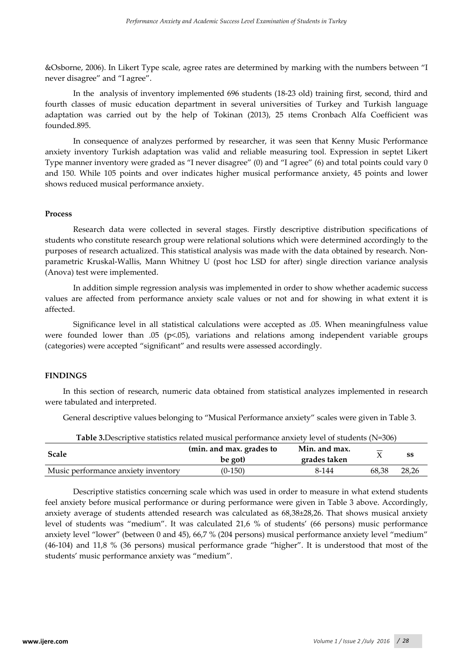&Osborne, 2006). In Likert Type scale, agree rates are determined by marking with the numbers between "I never disagree" and "I agree".

In the analysis of inventory implemented 696 students (18-23 old) training first, second, third and fourth classes of music education department in several universities of Turkey and Turkish language adaptation was carried out by the help of Tokinan (2013), 25 ıtems Cronbach Alfa Coefficient was founded.895.

In consequence of analyzes performed by researcher, it was seen that Kenny Music Performance anxiety inventory Turkish adaptation was valid and reliable measuring tool. Expression in septet Likert Type manner inventory were graded as "I never disagree" (0) and "I agree" (6) and total points could vary 0 and 150. While 105 points and over indicates higher musical performance anxiety, 45 points and lower shows reduced musical performance anxiety.

#### **Process**

 Research data were collected in several stages. Firstly descriptive distribution specifications of students who constitute research group were relational solutions which were determined accordingly to the purposes of research actualized. This statistical analysis was made with the data obtained by research. Nonparametric Kruskal-Wallis, Mann Whitney U (post hoc LSD for after) single direction variance analysis (Anova) test were implemented.

In addition simple regression analysis was implemented in order to show whether academic success values are affected from performance anxiety scale values or not and for showing in what extent it is affected.

Significance level in all statistical calculations were accepted as .05. When meaningfulness value were founded lower than .05 (p<.05), variations and relations among independent variable groups (categories) were accepted "significant" and results were assessed accordingly.

#### **FINDINGS**

In this section of research, numeric data obtained from statistical analyzes implemented in research were tabulated and interpreted.

General descriptive values belonging to "Musical Performance anxiety" scales were given in Table 3.

|                                     | <b>Table 3.</b> Descriptive statistics related musical performance anxiety level of students (IN-500) |                               |       |       |  |  |  |  |  |
|-------------------------------------|-------------------------------------------------------------------------------------------------------|-------------------------------|-------|-------|--|--|--|--|--|
| Scale                               | (min. and max. grades to<br>be got)                                                                   | Min. and max.<br>grades taken |       | SS    |  |  |  |  |  |
| Music performance anxiety inventory | $(0-150)$                                                                                             | 8-144                         | 68.38 | 28.26 |  |  |  |  |  |

**Table 3.**Descriptive statistics related musical performance anxiety level of students (N=306)

Descriptive statistics concerning scale which was used in order to measure in what extend students feel anxiety before musical performance or during performance were given in Table 3 above. Accordingly, anxiety average of students attended research was calculated as 68,38±28,26. That shows musical anxiety level of students was "medium". It was calculated 21,6 % of students' (66 persons) music performance anxiety level "lower" (between 0 and 45), 66,7 % (204 persons) musical performance anxiety level "medium" (46-104) and 11,8 % (36 persons) musical performance grade "higher". It is understood that most of the students' music performance anxiety was "medium".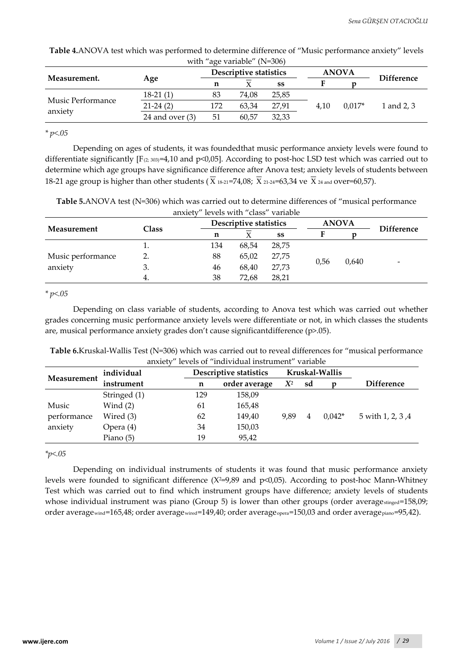| with "age variable" ( $N=306$ ) |                   |     |                        |       |      |              |                   |  |  |
|---------------------------------|-------------------|-----|------------------------|-------|------|--------------|-------------------|--|--|
|                                 |                   |     | Descriptive statistics |       |      | <b>ANOVA</b> | <b>Difference</b> |  |  |
| Measurement.                    | Age               | n   |                        | SS    |      |              |                   |  |  |
| Music Performance<br>anxiety    | $18-21(1)$        | 83  | 74.08                  | 25.85 |      |              |                   |  |  |
|                                 | $21-24(2)$        | 172 | 63.34                  | 27.91 | 4.10 | $0.017*$     | 1 and 2, 3        |  |  |
|                                 | 24 and over $(3)$ | 51  | 60.57                  | 32,33 |      |              |                   |  |  |

**Table 4.**ANOVA test which was performed to determine difference of "Music performance anxiety" levels

*\* p<.05*

Depending on ages of students, it was foundedthat music performance anxiety levels were found to differentiate significantly  $[F_{(2; 303)}=4,10$  and  $p<0,05]$ . According to post-hoc LSD test which was carried out to determine which age groups have significance difference after Anova test; anxiety levels of students between 18-21 age group is higher than other students ( $\overline{X}$  18-21=74,08;  $\overline{X}$  21-24=63,34 ve  $\overline{X}$  24 and over=60,57).

**Table 5.**ANOVA test (N=306) which was carried out to determine differences of "musical performance anxiety" levels with "class" variable

|                              |          |     | Descriptive statistics |       |      | <b>ANOVA</b> |                          |
|------------------------------|----------|-----|------------------------|-------|------|--------------|--------------------------|
| Measurement                  | Class    | n   |                        | SS    |      |              | <b>Difference</b>        |
|                              | <b>.</b> | 134 | 68,54                  | 28,75 |      |              |                          |
| Music performance<br>anxiety |          | 88  | 65,02                  | 27,75 |      |              |                          |
|                              | э.       | 46  | 68,40                  | 27,73 | 0.56 | 0,640        | $\overline{\phantom{0}}$ |
|                              | 4.       | 38  | 72,68                  | 28,21 |      |              |                          |

*\* p<.05*

Depending on class variable of students, according to Anova test which was carried out whether grades concerning music performance anxiety levels were differentiate or not, in which classes the students are, musical performance anxiety grades don't cause significantdifference (p>.05).

| Table 6.Kruskal-Wallis Test (N=306) which was carried out to reveal differences for "musical performance |  |
|----------------------------------------------------------------------------------------------------------|--|
| anxiety" levels of "individual instrument" variable                                                      |  |

|             | individual   |     | Descriptive statistics |               |       |    | Kruskal-Wallis |                   |  |
|-------------|--------------|-----|------------------------|---------------|-------|----|----------------|-------------------|--|
| Measurement | instrument   | n   |                        | order average | $X^2$ | sd |                | <b>Difference</b> |  |
|             | Stringed (1) | 129 |                        | 158,09        |       |    |                |                   |  |
| Music       | Wind $(2)$   | 61  |                        | 165,48        |       |    |                |                   |  |
| performance | Wired (3)    | 62  |                        | 149,40        | 9.89  | 4  | $0.042*$       | 5 with 1, 2, 3, 4 |  |
| anxiety     | Opera (4)    | 34  |                        | 150,03        |       |    |                |                   |  |
|             | Piano $(5)$  | 19  |                        | 95,42         |       |    |                |                   |  |

*\*p<.05*

Depending on individual instruments of students it was found that music performance anxiety levels were founded to significant difference  $(X^2=9,89)$  and  $p<0,05$ ). According to post-hoc Mann-Whitney Test which was carried out to find which instrument groups have difference; anxiety levels of students whose individual instrument was piano (Group 5) is lower than other groups (order average stinged=158,09; order averagewind=165,48; order averagewired=149,40; order averageopera=150,03 and order averagepiano=95,42).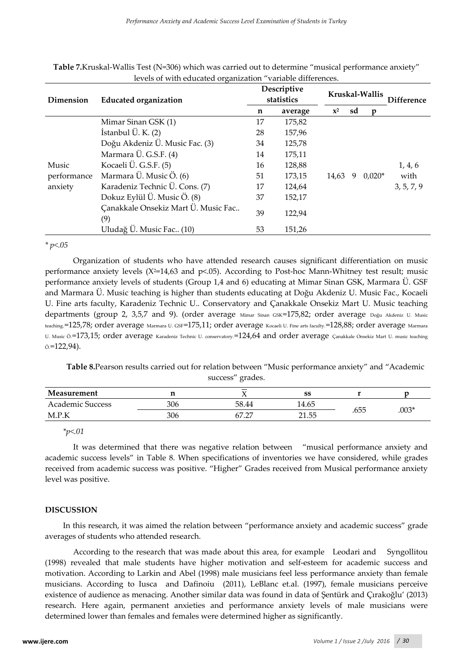| Dimension   | <b>Educated organization</b>               |    | Descriptive<br>statistics |                | Kruskal-Wallis | <b>Difference</b> |            |
|-------------|--------------------------------------------|----|---------------------------|----------------|----------------|-------------------|------------|
|             |                                            | n  | average                   | $\mathbf{x}^2$ | sd             | n                 |            |
|             | Mimar Sinan GSK (1)                        | 17 | 175,82                    |                |                |                   |            |
|             | Istanbul $\ddot{\text{U}}$ . K. (2)        | 28 | 157,96                    |                |                |                   |            |
|             | Doğu Akdeniz Ü. Music Fac. (3)             | 34 | 125,78                    |                |                |                   |            |
|             | Marmara Ü. G.S.F. (4)                      | 14 | 175,11                    |                |                |                   |            |
| Music       | Kocaeli Ü. G.S.F. (5)                      | 16 | 128,88                    |                |                |                   | 1, 4, 6    |
| performance | Marmara Ü. Music Ö. (6)                    | 51 | 173,15                    | 14,63          | 9              | $0,020*$          | with       |
| anxiety     | Karadeniz Technic Ü. Cons. (7)             | 17 | 124,64                    |                |                |                   | 3, 5, 7, 9 |
|             | Dokuz Eylül Ü. Music Ö. (8)                | 37 | 152,17                    |                |                |                   |            |
|             | Çanakkale Onsekiz Mart Ü. Music Fac<br>(9) | 39 | 122,94                    |                |                |                   |            |
|             | Uludağ Ü. Music Fac (10)                   |    | 151,26                    |                |                |                   |            |

**Table 7.**Kruskal-Wallis Test (N=306) which was carried out to determine "musical performance anxiety" levels of with educated organization "variable differences.

*\* p<.05* 

Organization of students who have attended research causes significant differentiation on music performance anxiety levels ( $X^2=14,63$  and  $p<05$ ). According to Post-hoc Mann-Whitney test result; music performance anxiety levels of students (Group 1,4 and 6) educating at Mimar Sinan GSK, Marmara Ü. GSF and Marmara Ü. Music teaching is higher than students educating at Doğu Akdeniz U. Music Fac., Kocaeli U. Fine arts faculty, Karadeniz Technic U.. Conservatory and Çanakkale Onsekiz Mart U. Music teaching departments (group 2, 3,5,7 and 9). (order average Mimar Sinan GSK=175,82; order average Doğu Akdeniz U. Music teaching.=125,78; order average Marmara U. GSF=175,11; order average Kocaeli U. Fine arts faculty.=128,88; order average Marmara U. Music Ö.=173,15; order average Karadeniz Technic U. conservatory.=124,64 and order average Çanakkale Onsekiz Mart U. music teaching  $\ddot{\circ}$ . = 122,94).

**Table 8.**Pearson results carried out for relation between "Music performance anxiety" and "Academic success" grades.

| Measurement      |     | . .   | SS                |       |         |
|------------------|-----|-------|-------------------|-------|---------|
| Academic Success | 306 | 58.44 | .4.65             | ∙ — — |         |
| M.P.K            | 306 | 67.27 | 21. 55<br>ت ب⊥⊾ ک | .655  | $.003*$ |

*\*p<.01*

It was determined that there was negative relation between "musical performance anxiety and academic success levels" in Table 8. When specifications of inventories we have considered, while grades received from academic success was positive. "Higher" Grades received from Musical performance anxiety level was positive.

# **DISCUSSION**

In this research, it was aimed the relation between "performance anxiety and academic success" grade averages of students who attended research.

According to the research that was made about this area, for example Leodari and Syngollitou (1998) revealed that male students have higher motivation and self-esteem for academic success and motivation. According to Larkin and Abel (1998) male musicians feel less performance anxiety than female musicians. According to Iusca and Dafinoiu (2011), LeBlanc et.al. (1997), female musicians perceive existence of audience as menacing. Another similar data was found in data of Şentürk and Çırakoğlu' (2013) research. Here again, permanent anxieties and performance anxiety levels of male musicians were determined lower than females and females were determined higher as significantly.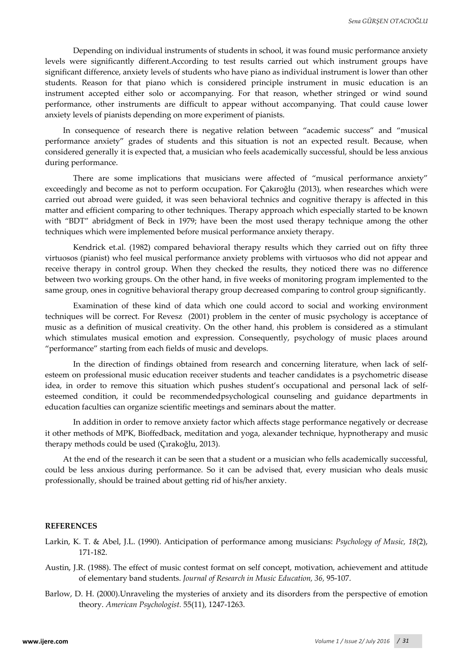Depending on individual instruments of students in school, it was found music performance anxiety levels were significantly different.According to test results carried out which instrument groups have significant difference, anxiety levels of students who have piano as individual instrument is lower than other students. Reason for that piano which is considered principle instrument in music education is an instrument accepted either solo or accompanying. For that reason, whether stringed or wind sound performance, other instruments are difficult to appear without accompanying. That could cause lower anxiety levels of pianists depending on more experiment of pianists.

In consequence of research there is negative relation between "academic success" and "musical performance anxiety" grades of students and this situation is not an expected result. Because, when considered generally it is expected that, a musician who feels academically successful, should be less anxious during performance.

There are some implications that musicians were affected of "musical performance anxiety" exceedingly and become as not to perform occupation. For Çakıroğlu (2013), when researches which were carried out abroad were guided, it was seen behavioral technics and cognitive therapy is affected in this matter and efficient comparing to other techniques. Therapy approach which especially started to be known with "BDT" abridgment of Beck in 1979; have been the most used therapy technique among the other techniques which were implemented before musical performance anxiety therapy.

Kendrick et.al. (1982) compared behavioral therapy results which they carried out on fifty three virtuosos (pianist) who feel musical performance anxiety problems with virtuosos who did not appear and receive therapy in control group. When they checked the results, they noticed there was no difference between two working groups. On the other hand, in five weeks of monitoring program implemented to the same group, ones in cognitive behavioral therapy group decreased comparing to control group significantly.

Examination of these kind of data which one could accord to social and working environment techniques will be correct. For Revesz (2001) problem in the center of music psychology is acceptance of music as a definition of musical creativity. On the other hand, this problem is considered as a stimulant which stimulates musical emotion and expression. Consequently, psychology of music places around "performance" starting from each fields of music and develops.

In the direction of findings obtained from research and concerning literature, when lack of selfesteem on professional music education receiver students and teacher candidates is a psychometric disease idea, in order to remove this situation which pushes student's occupational and personal lack of selfesteemed condition, it could be recommendedpsychological counseling and guidance departments in education faculties can organize scientific meetings and seminars about the matter.

In addition in order to remove anxiety factor which affects stage performance negatively or decrease it other methods of MPK, Bioffedback, meditation and yoga, alexander technique, hypnotherapy and music therapy methods could be used (Çırakoğlu, 2013).

At the end of the research it can be seen that a student or a musician who fells academically successful, could be less anxious during performance. So it can be advised that, every musician who deals music professionally, should be trained about getting rid of his/her anxiety.

#### **REFERENCES**

- Larkin, K. T. & Abel, J.L. (1990). Anticipation of performance among musicians: *Psychology of Music, 18*(2), 171-182.
- Austin, J.R. (1988). The effect of music contest format on self concept, motivation, achievement and attitude of elementary band students. *Journal of Research in Music Education, 36,* 95-107.
- Barlow, D. H. (2000).Unraveling the mysteries of anxiety and its disorders from the perspective of emotion theory. *American Psychologist.* 55(11), 1247-1263.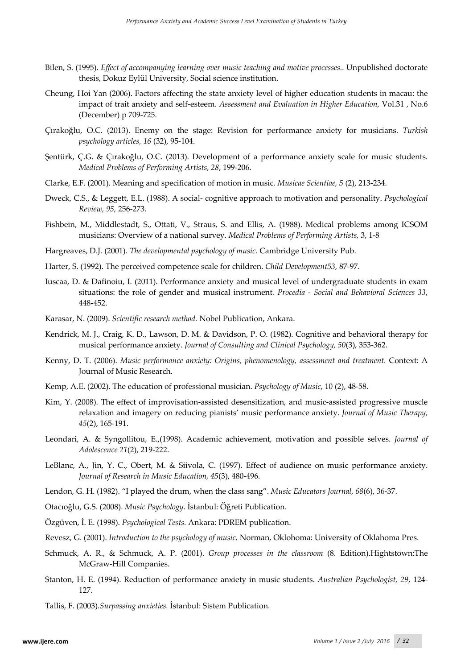- Bilen, S. (1995). *Effect of accompanying learning over music teaching and motive processes..* Unpublished doctorate thesis, Dokuz Eylül University, Social science institution.
- Cheung, Hoi Yan (2006). Factors affecting the state anxiety level of higher education students in macau: the impact of trait anxiety and self-esteem. *Assessment and Evaluation in Higher Education,* Vol.31 , No.6 (December) p 709-725.
- Çırakoğlu, O.C. (2013). Enemy on the stage: Revision for performance anxiety for musicians. *Turkish psychology articles, 16* (32), 95-104.
- Şentürk, Ç.G. & Çırakoğlu, O.C. (2013). Development of a performance anxiety scale for music students. *Medical Problems of Performing Artists, 28*, 199-206.
- Clarke, E.F. (2001). Meaning and specification of motion in music*. Musicae Scientiae, 5* (2), 213-234.
- Dweck, C.S., & Leggett, E.L. (1988). A social- cognitive approach to motivation and personality. *Psychological Review, 95,* 256-273.
- Fishbein, M., Middlestadt, S., Ottati, V., Straus, S. and Ellis, A. (1988). Medical problems among ICSOM musicians: Overview of a national survey. *Medical Problems of Performing Artists,* 3, 1-8
- Hargreaves, D.J. (2001). *The developmental psychology of music.* Cambridge University Pub.
- Harter, S. (1992). The perceived competence scale for children. *Child Development53,* 87-97.
- Iuscaa, D. & Dafinoiu, I. (2011). Performance anxiety and musical level of undergraduate students in exam situations: the role of gender and musical instrument*. Procedia - Social and Behavioral Sciences 33*, 448-452.
- Karasar, N. (2009). *Scientific research method.* Nobel Publication, Ankara.
- Kendrick, M. J., Craig, K. D., Lawson, D. M. & Davidson, P. O. (1982). Cognitive and behavioral therapy for musical performance anxiety. *Journal of Consulting and Clinical Psychology, 50*(3), 353-362.
- Kenny, D. T. (2006). *Music performance anxiety: Origins, phenomenology, assessment and treatment.* Context: A Journal of Music Research.
- Kemp, A.E. (2002). The education of professional musician. *Psychology of Music*, 10 (2), 48-58.
- Kim, Y. (2008). The effect of improvisation-assisted desensitization, and music-assisted progressive muscle relaxation and imagery on reducing pianists' music performance anxiety. *Journal of Music Therapy, 45*(2), 165-191.
- Leondari, A. & Syngollitou, E.,(1998). Academic achievement, motivation and possible selves. *Journal of Adolescence 21*(2), 219-222.
- LeBlanc, A., Jin, Y. C., Obert, M. & Siivola, C. (1997). Effect of audience on music performance anxiety. *Journal of Research in Music Education, 45*(3), 480-496.
- Lendon, G. H. (1982). "I played the drum, when the class sang". *Music Educators Journal, 68*(6), 36-37.
- Otacıoğlu, G.S. (2008). *Music Psychology*. İstanbul: Öğreti Publication.
- Özgüven, İ. E. (1998). *Psychological Tests.* Ankara: PDREM publication.
- Revesz, G. (2001). *Introduction to the psychology of music.* Norman, Oklohoma: University of Oklahoma Pres.
- Schmuck, A. R., & Schmuck, A. P. (2001). *Group processes in the classroom* (8. Edition).Hightstown:The McGraw-Hill Companies.
- Stanton, H. E. (1994). Reduction of performance anxiety in music students. *Australian Psychologist, 29*, 124- 127.
- Tallis, F. (2003).*Surpassing anxieties.* İstanbul: Sistem Publication.